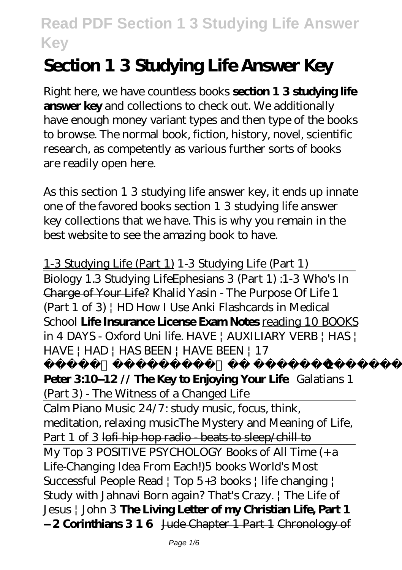# **Section 1 3 Studying Life Answer Key**

Right here, we have countless books **section 1 3 studying life answer key** and collections to check out. We additionally have enough money variant types and then type of the books to browse. The normal book, fiction, history, novel, scientific research, as competently as various further sorts of books are readily open here.

As this section 1 3 studying life answer key, it ends up innate one of the favored books section 1 3 studying life answer key collections that we have. This is why you remain in the best website to see the amazing book to have.

1-3 Studying Life (Part 1) 1-3 Studying Life (Part 1) Biology 1.3 Studying LifeEphesians 3 (Part 1) :1-3 Who's In Charge of Your Life? *Khalid Yasin - The Purpose Of Life 1 (Part 1 of 3) | HD How I Use Anki Flashcards in Medical School* **Life Insurance License Exam Notes** reading 10 BOOKS in 4 DAYS - Oxford Uni life. *HAVE | AUXILIARY VERB | HAS | HAVE | HAD | HAS BEEN | HAVE BEEN | 17*

*ഉപയോഗങ്ങള് മനസ്സിലാക്കാം* **1**

**Peter 3:10–12 // The Key to Enjoying Your Life** *Galatians 1 (Part 3) - The Witness of a Changed Life* Calm Piano Music 24/7: study music, focus, think, meditation, relaxing music*The Mystery and Meaning of Life, Part 1 of 3* lofi hip hop radio - beats to sleep/chill to My Top 3 POSITIVE PSYCHOLOGY Books of All Time (+ a Life-Changing Idea From Each!)*5 books World's Most Successful People Read | Top 5+3 books | life changing | Study with Jahnavi Born again? That's Crazy. | The Life of Jesus | John 3* **The Living Letter of my Christian Life, Part 1 – 2 Corinthians 3 1 6** Jude Chapter 1 Part 1 Chronology of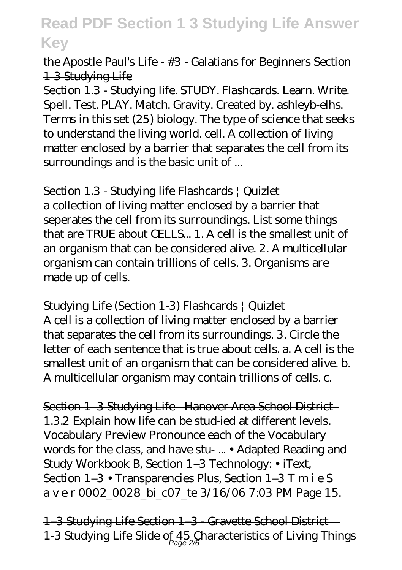### the Apostle Paul's Life - #3 - Galatians for Beginners Section 1 3 Studying Life

Section 1.3 - Studying life. STUDY. Flashcards. Learn. Write. Spell. Test. PLAY. Match. Gravity. Created by. ashleyb-elhs. Terms in this set (25) biology. The type of science that seeks to understand the living world. cell. A collection of living matter enclosed by a barrier that separates the cell from its surroundings and is the basic unit of ...

Section 1.3 - Studying life Flashcards | Quizlet

a collection of living matter enclosed by a barrier that seperates the cell from its surroundings. List some things that are TRUE about CELLS... 1. A cell is the smallest unit of an organism that can be considered alive. 2. A multicellular organism can contain trillions of cells. 3. Organisms are made up of cells.

Studying Life (Section 1-3) Flashcards | Quizlet A cell is a collection of living matter enclosed by a barrier that separates the cell from its surroundings. 3. Circle the letter of each sentence that is true about cells. a. A cell is the smallest unit of an organism that can be considered alive. b. A multicellular organism may contain trillions of cells. c.

Section 1–3 Studying Life - Hanover Area School District 1.3.2 Explain how life can be stud-ied at different levels. Vocabulary Preview Pronounce each of the Vocabulary words for the class, and have stu- ... • Adapted Reading and Study Workbook B, Section 1–3 Technology: • iText, Section 1–3 • Transparencies Plus, Section 1–3 T m i e S a v e r 0002\_0028\_bi\_c07\_te 3/16/06 7:03 PM Page 15.

1-3 Studying Life Section 1-3 Gravette School District-1-3 Studying Life Slide of 45 Characteristics of Living Things Page 2/6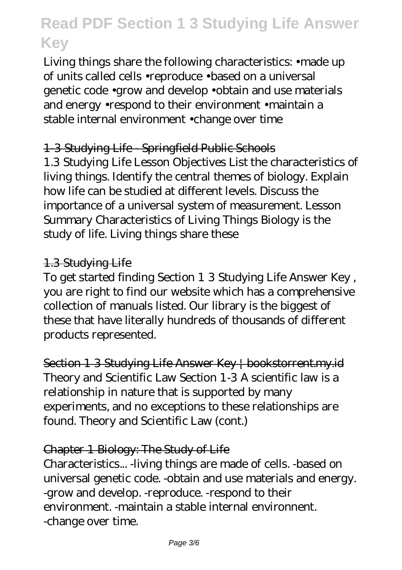Living things share the following characteristics: •made up of units called cells •reproduce •based on a universal genetic code •grow and develop •obtain and use materials and energy •respond to their environment •maintain a stable internal environment •change over time

### 1-3 Studying Life - Springfield Public Schools

1.3 Studying Life Lesson Objectives List the characteristics of living things. Identify the central themes of biology. Explain how life can be studied at different levels. Discuss the importance of a universal system of measurement. Lesson Summary Characteristics of Living Things Biology is the study of life. Living things share these

### 1.3 Studying Life

To get started finding Section 1 3 Studying Life Answer Key , you are right to find our website which has a comprehensive collection of manuals listed. Our library is the biggest of these that have literally hundreds of thousands of different products represented.

Section 1 3 Studying Life Answer Key | bookstorrent.my.id Theory and Scientific Law Section 1-3 A scientific law is a relationship in nature that is supported by many experiments, and no exceptions to these relationships are found. Theory and Scientific Law (cont.)

#### Chapter 1 Biology: The Study of Life

Characteristics... -living things are made of cells. -based on universal genetic code. -obtain and use materials and energy. -grow and develop. -reproduce. -respond to their environment. -maintain a stable internal environnent. -change over time.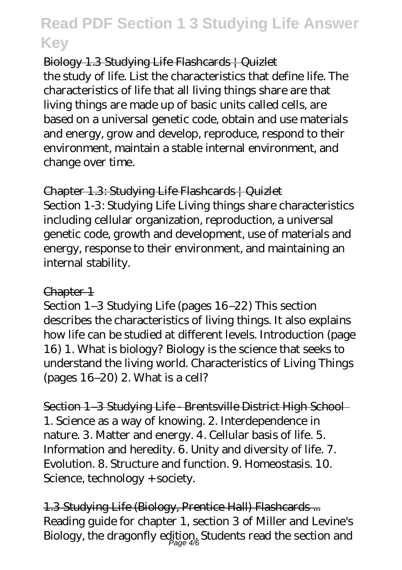### Biology 1.3 Studying Life Flashcards | Quizlet

the study of life. List the characteristics that define life. The characteristics of life that all living things share are that living things are made up of basic units called cells, are based on a universal genetic code, obtain and use materials and energy, grow and develop, reproduce, respond to their environment, maintain a stable internal environment, and change over time.

### Chapter 1.3: Studying Life Flashcards | Quizlet

Section 1-3: Studying Life Living things share characteristics including cellular organization, reproduction, a universal genetic code, growth and development, use of materials and energy, response to their environment, and maintaining an internal stability.

#### Chapter 1

Section 1–3 Studying Life (pages 16–22) This section describes the characteristics of living things. It also explains how life can be studied at different levels. Introduction (page 16) 1. What is biology? Biology is the science that seeks to understand the living world. Characteristics of Living Things (pages 16–20) 2. What is a cell?

Section 1-3 Studying Life Brentsville District High School-1. Science as a way of knowing. 2. Interdependence in nature. 3. Matter and energy. 4. Cellular basis of life. 5. Information and heredity. 6. Unity and diversity of life. 7. Evolution. 8. Structure and function. 9. Homeostasis. 10. Science, technology + society.

1.3 Studying Life (Biology, Prentice Hall) Flashcards ... Reading guide for chapter 1, section 3 of Miller and Levine's Biology, the dragonfly edition. Students read the section and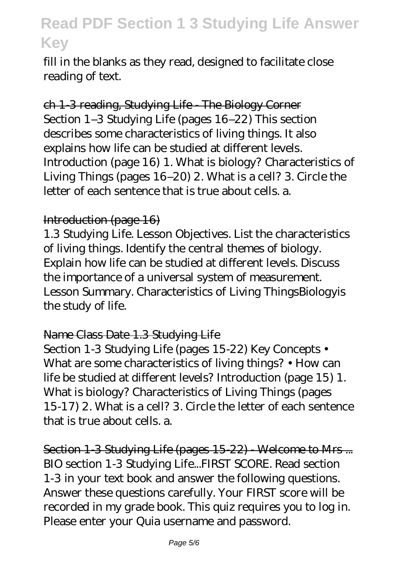fill in the blanks as they read, designed to facilitate close reading of text.

ch 1-3 reading, Studying Life - The Biology Corner Section 1–3 Studying Life (pages 16–22) This section describes some characteristics of living things. It also explains how life can be studied at different levels. Introduction (page 16) 1. What is biology? Characteristics of Living Things (pages 16–20) 2. What is a cell? 3. Circle the letter of each sentence that is true about cells. a.

#### Introduction (page 16)

1.3 Studying Life. Lesson Objectives. List the characteristics of living things. Identify the central themes of biology. Explain how life can be studied at different levels. Discuss the importance of a universal system of measurement. Lesson Summary. Characteristics of Living ThingsBiologyis the study of life.

#### Name Class Date 1.3 Studying Life

Section 1-3 Studying Life (pages 15-22) Key Concepts • What are some characteristics of living things? • How can life be studied at different levels? Introduction (page 15) 1. What is biology? Characteristics of Living Things (pages 15-17) 2. What is a cell? 3. Circle the letter of each sentence that is true about cells. a.

Section 1-3 Studying Life (pages 15-22) - Welcome to Mrs ... BIO section 1-3 Studying Life...FIRST SCORE. Read section 1-3 in your text book and answer the following questions. Answer these questions carefully. Your FIRST score will be recorded in my grade book. This quiz requires you to log in. Please enter your Quia username and password.